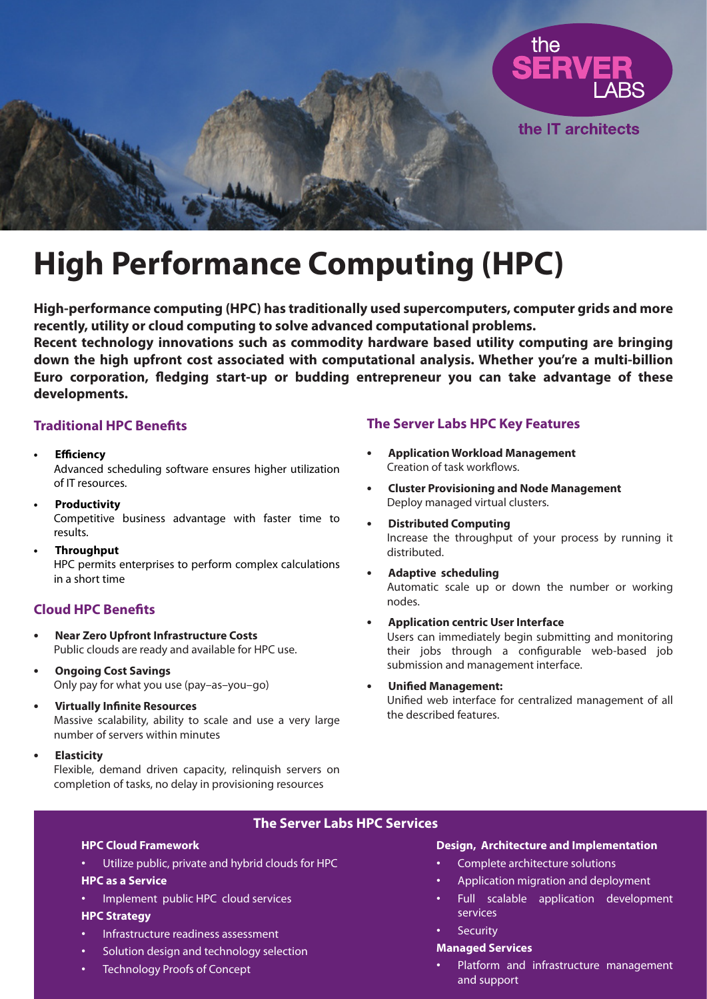

# **High Performance Computing (HPC)**

**High-performance computing (HPC) has traditionally used supercomputers, computer grids and more recently, utility or cloud computing to solve advanced computational problems.**

**Recent technology innovations such as commodity hardware based utility computing are bringing down the high upfront cost associated with computational analysis. Whether you're a multi-billion Euro corporation, fledging start-up or budding entrepreneur you can take advantage of these developments.**

## **Traditional HPC Benefits**

- **Efficiency** Advanced scheduling software ensures higher utilization of IT resources. **•**
- **Productivity** Competitive business advantage with faster time to results. **•**
- **Throughput** HPC permits enterprises to perform complex calculations in a short time **•**

# **Cloud HPC Benefits**

- **Near Zero Upfront Infrastructure Costs** Public clouds are ready and available for HPC use. **•**
- **Ongoing Cost Savings** Only pay for what you use (pay–as–you–go) **•**
- **Virtually Infinite Resources** Massive scalability, ability to scale and use a very large number of servers within minutes **•**
- **Elasticity •**

Flexible, demand driven capacity, relinquish servers on completion of tasks, no delay in provisioning resources

# **The Server Labs HPC Key Features**

- **Application Workload Management** Creation of task workflows. **•**
- **Cluster Provisioning and Node Management** Deploy managed virtual clusters. **•**
- **Distributed Computing** Increase the throughput of your process by running it distributed. **•**
- **Adaptive scheduling** Automatic scale up or down the number or working nodes. **•**
- **Application centric User Interface** Users can immediately begin submitting and monitoring their jobs through a configurable web-based job submission and management interface. **•**
- **Unified Management:** Unified web interface for centralized management of all the described features. **•**

# **The Server Labs HPC Services**

#### **HPC Cloud Framework**

Utilize public, private and hybrid clouds for HPC •

### **HPC as a Service**

Implement public HPC cloud services •

#### **HPC Strategy**

- Infrastructure readiness assessment •
- Solution design and technology selection •
- Technology Proofs of Concept •

### **Design, Architecture and Implementation**

- Complete architecture solutions •
- Application migration and deployment •
- Full scalable application development services •
- **Security** •

#### **Managed Services**

Platform and infrastructure management and support •